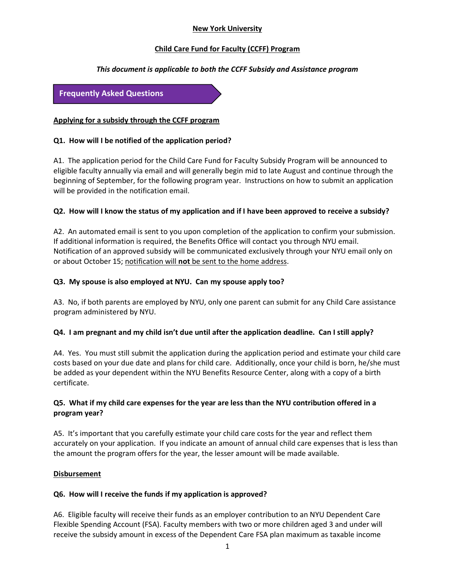# **New York University**

### **Child Care Fund for Faculty (CCFF) Program**

## *This document is applicable to both the CCFF Subsidy and Assistance program*

**Frequently Asked Questions**

#### **Applying for a subsidy through the CCFF program**

### **Q1. How will I be notified of the application period?**

A1. The application period for the Child Care Fund for Faculty Subsidy Program will be announced to eligible faculty annually via email and will generally begin mid to late August and continue through the beginning of September, for the following program year. Instructions on how to submit an application will be provided in the notification email.

#### **Q2. How will I know the status of my application and if I have been approved to receive a subsidy?**

A2. An automated email is sent to you upon completion of the application to confirm your submission. If additional information is required, the Benefits Office will contact you through NYU email. Notification of an approved subsidy will be communicated exclusively through your NYU email only on or about October 15; notification will **not** be sent to the home address.

## **Q3. My spouse is also employed at NYU. Can my spouse apply too?**

A3. No, if both parents are employed by NYU, only one parent can submit for any Child Care assistance program administered by NYU.

#### **Q4. I am pregnant and my child isn't due until after the application deadline. Can I still apply?**

A4. Yes. You must still submit the application during the application period and estimate your child care costs based on your due date and plans for child care. Additionally, once your child is born, he/she must be added as your dependent within the NYU Benefits Resource Center, along with a copy of a birth certificate.

## **Q5. What if my child care expenses for the year are less than the NYU contribution offered in a program year?**

A5. It's important that you carefully estimate your child care costs for the year and reflect them accurately on your application. If you indicate an amount of annual child care expenses that is less than the amount the program offers for the year, the lesser amount will be made available.

#### **Disbursement**

#### **Q6. How will I receive the funds if my application is approved?**

A6. Eligible faculty will receive their funds as an employer contribution to an NYU Dependent Care Flexible Spending Account (FSA). Faculty members with two or more children aged 3 and under will receive the subsidy amount in excess of the Dependent Care FSA plan maximum as taxable income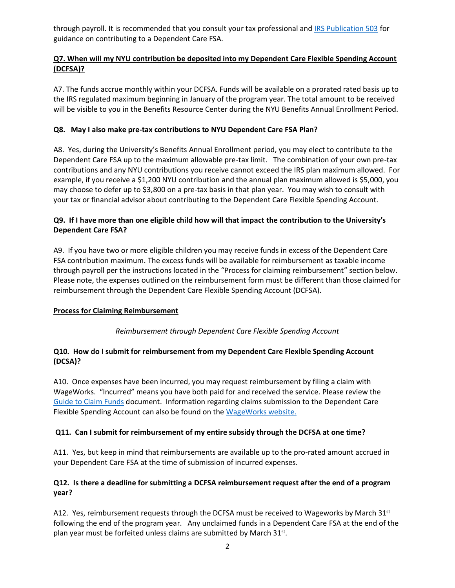through payroll. It is recommended that you consult your tax professional and [IRS Publication 503](https://www.irs.gov/pub/irs-pdf/p503.pdf) for guidance on contributing to a Dependent Care FSA.

# **Q7. When will my NYU contribution be deposited into my Dependent Care Flexible Spending Account (DCFSA)?**

A7. The funds accrue monthly within your DCFSA. Funds will be available on a prorated rated basis up to the IRS regulated maximum beginning in January of the program year. The total amount to be received will be visible to you in the Benefits Resource Center during the NYU Benefits Annual Enrollment Period.

## **Q8. May I also make pre-tax contributions to NYU Dependent Care FSA Plan?**

A8. Yes, during the University's Benefits Annual Enrollment period, you may elect to contribute to the Dependent Care FSA up to the maximum allowable pre-tax limit. The combination of your own pre-tax contributions and any NYU contributions you receive cannot exceed the IRS plan maximum allowed. For example, if you receive a \$1,200 NYU contribution and the annual plan maximum allowed is \$5,000, you may choose to defer up to \$3,800 on a pre-tax basis in that plan year. You may wish to consult with your tax or financial advisor about contributing to the Dependent Care Flexible Spending Account.

# **Q9. If I have more than one eligible child how will that impact the contribution to the University's Dependent Care FSA?**

A9. If you have two or more eligible children you may receive funds in excess of the Dependent Care FSA contribution maximum. The excess funds will be available for reimbursement as taxable income through payroll per the instructions located in the "Process for claiming reimbursement" section below. Please note, the expenses outlined on the reimbursement form must be different than those claimed for reimbursement through the Dependent Care Flexible Spending Account (DCFSA).

# **Process for Claiming Reimbursement**

# *Reimbursement through Dependent Care Flexible Spending Account*

## **Q10. How do I submit for reimbursement from my Dependent Care Flexible Spending Account (DCSA)?**

A10. Once expenses have been incurred, you may request reimbursement by filing a claim with WageWorks. "Incurred" means you have both paid for and received the service. Please review the [Guide to Claim Funds](https://drive.google.com/file/d/1LHJsBoiaruCvSSIYH17WZyOwl59pHMtS/view?usp=sharing) document. Information regarding claims submission to the Dependent Care Flexible Spending Account can also be found on the [WageWorks website.](https://www.wageworks.com/employees/dependent-care-fsa/dependent-care-flexible-spending-account/) 

#### **Q11. Can I submit for reimbursement of my entire subsidy through the DCFSA at one time?**

A11. Yes, but keep in mind that reimbursements are available up to the pro-rated amount accrued in your Dependent Care FSA at the time of submission of incurred expenses.

# **Q12. Is there a deadline for submitting a DCFSA reimbursement request after the end of a program year?**

A12. Yes, reimbursement requests through the DCFSA must be received to Wageworks by March  $31<sup>st</sup>$ following the end of the program year. Any unclaimed funds in a Dependent Care FSA at the end of the plan year must be forfeited unless claims are submitted by March 31st.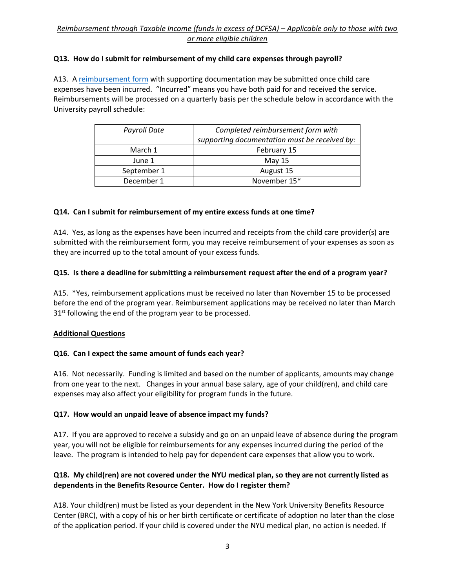# *Reimbursement through Taxable Income (funds in excess of DCFSA) – Applicable only to those with two or more eligible children*

## **Q13. How do I submit for reimbursement of my child care expenses through payroll?**

A13. A [reimbursement form](https://drive.google.com/open?id=1SKpqqNRlHCsPH1zzYClJPui0o6dP6piw) with supporting documentation may be submitted once child care expenses have been incurred. "Incurred" means you have both paid for and received the service. Reimbursements will be processed on a quarterly basis per the schedule below in accordance with the University payroll schedule:

| Payroll Date | Completed reimbursement form with             |
|--------------|-----------------------------------------------|
|              |                                               |
|              | supporting documentation must be received by: |
| March 1      | February 15                                   |
| June 1       | May 15                                        |
| September 1  | August 15                                     |
| December 1   | November 15*                                  |

## **Q14. Can I submit for reimbursement of my entire excess funds at one time?**

A14. Yes, as long as the expenses have been incurred and receipts from the child care provider(s) are submitted with the reimbursement form, you may receive reimbursement of your expenses as soon as they are incurred up to the total amount of your excess funds.

#### **Q15. Is there a deadline for submitting a reimbursement request after the end of a program year?**

A15. \*Yes, reimbursement applications must be received no later than November 15 to be processed before the end of the program year. Reimbursement applications may be received no later than March  $31<sup>st</sup>$  following the end of the program year to be processed.

#### **Additional Questions**

# **Q16. Can I expect the same amount of funds each year?**

A16. Not necessarily. Funding is limited and based on the number of applicants, amounts may change from one year to the next. Changes in your annual base salary, age of your child(ren), and child care expenses may also affect your eligibility for program funds in the future.

#### **Q17. How would an unpaid leave of absence impact my funds?**

A17. If you are approved to receive a subsidy and go on an unpaid leave of absence during the program year, you will not be eligible for reimbursements for any expenses incurred during the period of the leave. The program is intended to help pay for dependent care expenses that allow you to work.

# **Q18. My child(ren) are not covered under the NYU medical plan, so they are not currently listed as dependents in the Benefits Resource Center. How do I register them?**

A18. Your child(ren) must be listed as your dependent in the New York University Benefits Resource Center (BRC), with a copy of his or her birth certificate or certificate of adoption no later than the close of the application period. If your child is covered under the NYU medical plan, no action is needed. If